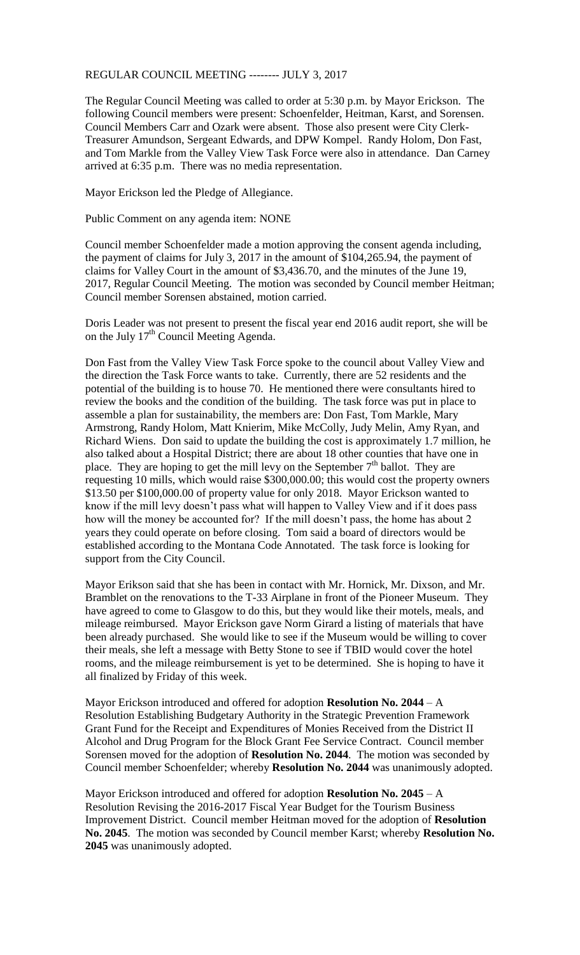REGULAR COUNCIL MEETING -------- JULY 3, 2017

The Regular Council Meeting was called to order at 5:30 p.m. by Mayor Erickson. The following Council members were present: Schoenfelder, Heitman, Karst, and Sorensen. Council Members Carr and Ozark were absent. Those also present were City Clerk-Treasurer Amundson, Sergeant Edwards, and DPW Kompel. Randy Holom, Don Fast, and Tom Markle from the Valley View Task Force were also in attendance. Dan Carney arrived at 6:35 p.m. There was no media representation.

Mayor Erickson led the Pledge of Allegiance.

Public Comment on any agenda item: NONE

Council member Schoenfelder made a motion approving the consent agenda including, the payment of claims for July 3, 2017 in the amount of \$104,265.94, the payment of claims for Valley Court in the amount of \$3,436.70, and the minutes of the June 19, 2017, Regular Council Meeting. The motion was seconded by Council member Heitman; Council member Sorensen abstained, motion carried.

Doris Leader was not present to present the fiscal year end 2016 audit report, she will be on the July 17<sup>th</sup> Council Meeting Agenda.

Don Fast from the Valley View Task Force spoke to the council about Valley View and the direction the Task Force wants to take. Currently, there are 52 residents and the potential of the building is to house 70. He mentioned there were consultants hired to review the books and the condition of the building. The task force was put in place to assemble a plan for sustainability, the members are: Don Fast, Tom Markle, Mary Armstrong, Randy Holom, Matt Knierim, Mike McColly, Judy Melin, Amy Ryan, and Richard Wiens. Don said to update the building the cost is approximately 1.7 million, he also talked about a Hospital District; there are about 18 other counties that have one in place. They are hoping to get the mill levy on the September  $7<sup>th</sup>$  ballot. They are requesting 10 mills, which would raise \$300,000.00; this would cost the property owners \$13.50 per \$100,000.00 of property value for only 2018. Mayor Erickson wanted to know if the mill levy doesn't pass what will happen to Valley View and if it does pass how will the money be accounted for? If the mill doesn't pass, the home has about 2 years they could operate on before closing. Tom said a board of directors would be established according to the Montana Code Annotated. The task force is looking for support from the City Council.

Mayor Erikson said that she has been in contact with Mr. Hornick, Mr. Dixson, and Mr. Bramblet on the renovations to the T-33 Airplane in front of the Pioneer Museum. They have agreed to come to Glasgow to do this, but they would like their motels, meals, and mileage reimbursed. Mayor Erickson gave Norm Girard a listing of materials that have been already purchased. She would like to see if the Museum would be willing to cover their meals, she left a message with Betty Stone to see if TBID would cover the hotel rooms, and the mileage reimbursement is yet to be determined. She is hoping to have it all finalized by Friday of this week.

Mayor Erickson introduced and offered for adoption **Resolution No. 2044** – A Resolution Establishing Budgetary Authority in the Strategic Prevention Framework Grant Fund for the Receipt and Expenditures of Monies Received from the District II Alcohol and Drug Program for the Block Grant Fee Service Contract. Council member Sorensen moved for the adoption of **Resolution No. 2044**. The motion was seconded by Council member Schoenfelder; whereby **Resolution No. 2044** was unanimously adopted.

Mayor Erickson introduced and offered for adoption **Resolution No. 2045** – A Resolution Revising the 2016-2017 Fiscal Year Budget for the Tourism Business Improvement District. Council member Heitman moved for the adoption of **Resolution No. 2045**. The motion was seconded by Council member Karst; whereby **Resolution No. 2045** was unanimously adopted.